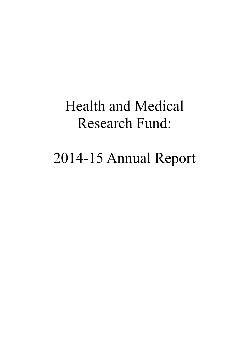# Health and Medical Research Fund:

# 2014-15 Annual Report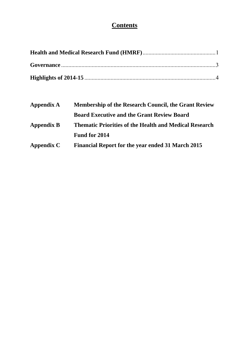# **Contents**

| <b>Membership of the Research Council, the Grant Review</b>   |  |  |  |
|---------------------------------------------------------------|--|--|--|
| <b>Board Executive and the Grant Review Board</b>             |  |  |  |
| <b>Thematic Priorities of the Health and Medical Research</b> |  |  |  |
|                                                               |  |  |  |
| Financial Report for the year ended 31 March 2015             |  |  |  |
|                                                               |  |  |  |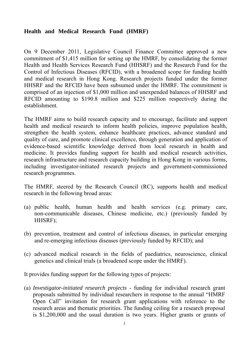## **Health and Medical Research Fund (HMRF)**

On 9 December 2011, Legislative Council Finance Committee approved a new commitment of \$1,415 million for setting up the HMRF, by consolidating the former Health and Health Services Research Fund (HHSRF) and the Research Fund for the Control of Infectious Diseases (RFCID), with a broadened scope for funding health and medical research in Hong Kong. Research projects funded under the former HHSRF and the RFCID have been subsumed under the HMRF. The commitment is comprised of an injection of \$1,000 million and unexpended balances of HHSRF and RFCID amounting to \$190.8 million and \$225 million respectively during the establishment.

The HMRF aims to build research capacity and to encourage, facilitate and support health and medical research to inform health policies, improve population health, strengthen the health system, enhance healthcare practices, advance standard and quality of care, and promote clinical excellence, through generation and application of evidence-based scientific knowledge derived from local research in health and medicine. It provides funding support for health and medical research activities, research infrastructure and research capacity building in Hong Kong in various forms, including investigator-initiated research projects and government-commissioned research programmes.

The HMRF, steered by the Research Council (RC), supports health and medical research in the following broad areas:

- (a) public health, human health and health services (e.g. primary care, non-communicable diseases, Chinese medicine, etc.) (previously funded by HHSRF);
- (b) prevention, treatment and control of infectious diseases, in particular emerging and re-emerging infectious diseases (previously funded by RFCID); and
- (c) advanced medical research in the fields of paediatrics, neuroscience, clinical genetics and clinical trials (a broadened scope under the HMRF).

It provides funding support for the following types of projects:

(a) *Investigator-initiated research projects* - funding for individual research grant proposals submitted by individual researchers in response to the annual "HMRF Open Call" invitation for research grant applications with reference to the research areas and thematic priorities. The funding ceiling for a research proposal is \$1,200,000 and the usual duration is two years. Higher grants or grants of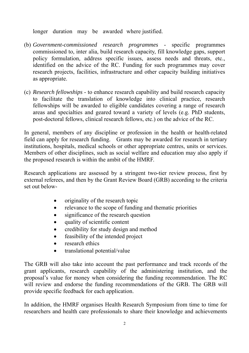longer duration may be awarded where justified.

- (b) *Government-commissioned research programmes* specific programmes commissioned to, inter alia, build research capacity, fill knowledge gaps, support policy formulation, address specific issues, assess needs and threats, etc., identified on the advice of the RC. Funding for such programmes may cover research projects, facilities, infrastructure and other capacity building initiatives as appropriate.
- (c) *Research fellowships* to enhance research capability and build research capacity to facilitate the translation of knowledge into clinical practice, research fellowships will be awarded to eligible candidates covering a range of research areas and specialties and geared toward a variety of levels (e.g. PhD students, post-doctoral fellows, clinical research fellows, etc.) on the advice of the RC.

institutions, hospitals, medical schools or other appropriate centres, units or services. In general, members of any discipline or profession in the health or health-related field can apply for research funding. Grants may be awarded for research in tertiary Members of other disciplines, such as social welfare and education may also apply if the proposed research is within the ambit of the HMRF.

Research applications are assessed by a stringent two-tier review process, first by external referees, and then by the Grant Review Board (GRB) according to the criteria set out below-

- originality of the research topic
- relevance to the scope of funding and thematic priorities
- significance of the research question
- quality of scientific content
- credibility for study design and method
- feasibility of the intended project
- research ethics
- translational potential/value

The GRB will also take into account the past performance and track records of the grant applicants, research capability of the administering institution, and the proposal's value for money when considering the funding recommendation. The RC will review and endorse the funding recommendations of the GRB. The GRB will provide specific feedback for each application.

In addition, the HMRF organises Health Research Symposium from time to time for researchers and health care professionals to share their knowledge and achievements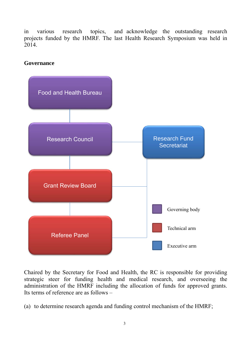in various research topics, and acknowledge the outstanding research projects funded by the HMRF. The last Health Research Symposium was held in 2014.

## **Governance**



Chaired by the Secretary for Food and Health, the RC is responsible for providing strategic steer for funding health and medical research, and overseeing the administration of the HMRF including the allocation of funds for approved grants. Its terms of reference are as follows –

(a) to determine research agenda and funding control mechanism of the HMRF;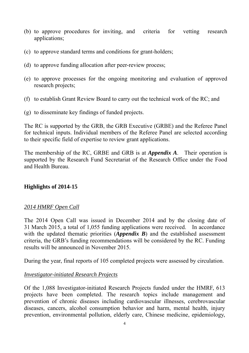- (b) to approve procedures for inviting, and criteria for vetting research applications;
- (c) to approve standard terms and conditions for grant-holders;
- (d) to approve funding allocation after peer-review process;
- (e) to approve processes for the ongoing monitoring and evaluation of approved research projects;
- (f) to establish Grant Review Board to carry out the technical work of the RC; and
- (g) to disseminate key findings of funded projects.

The RC is supported by the GRB, the GRB Executive (GRBE) and the Referee Panel for technical inputs. Individual members of the Referee Panel are selected according to their specific field of expertise to review grant applications.

The membership of the RC, GRBE and GRB is at *Appendix A*. Their operation is supported by the Research Fund Secretariat of the Research Office under the Food and Health Bureau.

## **Highlights of 2014-15**

## *2014 HMRF Open Call*

The 2014 Open Call was issued in December 2014 and by the closing date of 31 March 2015, a total of 1,055 funding applications were received. In accordance with the updated thematic priorities (*Appendix B*) and the established assessment criteria, the GRB's funding recommendations will be considered by the RC. Funding results will be announced in November 2015.

During the year, final reports of 105 completed projects were assessed by circulation.

## *Investigator-initiated Research Projects*

Of the 1,088 Investigator-initiated Research Projects funded under the HMRF, 613 projects have been completed. The research topics include management and prevention of chronic diseases including cardiovascular illnesses, cerebrovascular diseases, cancers, alcohol consumption behavior and harm, mental health, injury prevention, environmental pollution, elderly care, Chinese medicine, epidemiology,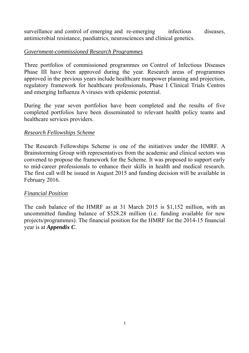surveillance and control of emerging and re-emerging infectious diseases, antimicrobial resistance, paediatrics, neurosciences and clinical genetics.

## *Government-commissioned Research Programmes*

Three portfolios of commissioned programmes on Control of Infectious Diseases Phase III have been approved during the year. Research areas of programmes approved in the previous years include healthcare manpower planning and projection, regulatory framework for healthcare professionals, Phase I Clinical Trials Centres and emerging Influenza A viruses with epidemic potential.

During the year seven portfolios have been completed and the results of five completed portfolios have been disseminated to relevant health policy teams and healthcare services providers.

## *Research Fellowships Scheme*

The Research Fellowships Scheme is one of the initiatives under the HMRF. A Brainstorming Group with representatives from the academic and clinical sectors was convened to propose the framework for the Scheme. It was proposed to support early to mid-career professionals to enhance their skills in health and medical research. The first call will be issued in August 2015 and funding decision will be available in February 2016.

## *Financial Position*

The cash balance of the HMRF as at 31 March 2015 is \$1,152 million, with an uncommitted funding balance of \$528.28 million (i.e. funding available for new projects/programmes). The financial position for the HMRF for the 2014-15 financial year is at *Appendix C*.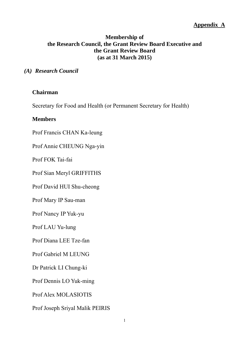## **Membership of the Research Council, the Grant Review Board Executive and the Grant Review Board (as at 31 March 2015)**

#### *(A) Research Council*

#### **Chairman**

Secretary for Food and Health (or Permanent Secretary for Health)

#### **Members**

Prof Francis CHAN Ka-leung

Prof Annie CHEUNG Nga-yin

Prof FOK Tai-fai

Prof Sian Meryl GRIFFITHS

Prof David HUI Shu-cheong

Prof Mary IP Sau-man

Prof Nancy IP Yuk-yu

Prof LAU Yu-lung

Prof Diana LEE Tze-fan

Prof Gabriel M LEUNG

Dr Patrick LI Chung-ki

Prof Dennis LO Yuk-ming

Prof Alex MOLASIOTIS

Prof Joseph Sriyal Malik PEIRIS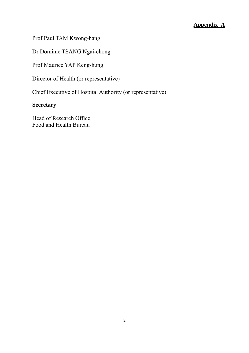Prof Paul TAM Kwong-hang

Dr Dominic TSANG Ngai-chong

Prof Maurice YAP Keng-hung

Director of Health (or representative)

Chief Executive of Hospital Authority (or representative)

# **Secretary**

Head of Research Office Food and Health Bureau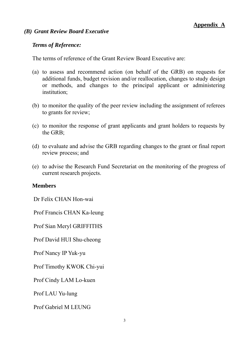#### *(B) Grant Review Board Executive*

#### *Terms of Reference:*

The terms of reference of the Grant Review Board Executive are:

- (a) to assess and recommend action (on behalf of the GRB) on requests for additional funds, budget revision and/or reallocation, changes to study design or methods, and changes to the principal applicant or administering institution;
- (b) to monitor the quality of the peer review including the assignment of referees to grants for review;
- (c) to monitor the response of grant applicants and grant holders to requests by the GRB;
- (d) to evaluate and advise the GRB regarding changes to the grant or final report review process; and
- (e) to advise the Research Fund Secretariat on the monitoring of the progress of current research projects.

#### **Members**

Dr Felix CHAN Hon-wai

Prof Francis CHAN Ka-leung

Prof Sian Meryl GRIFFITHS

Prof David HUI Shu-cheong

Prof Nancy IP Yuk-yu

Prof Timothy KWOK Chi-yui

Prof Cindy LAM Lo-kuen

Prof LAU Yu-lung

Prof Gabriel M LEUNG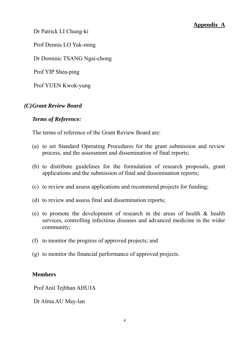Dr Patrick LI Chung-ki

Prof Dennis LO Yuk-ming

Dr Dominic TSANG Ngai-chong

Prof YIP Shea-ping

Prof YUEN Kwok-yung

## *(C)Grant Review Board*

## *Terms of Reference:*

The terms of reference of the Grant Review Board are:

- (a) to set Standard Operating Procedures for the grant submission and review process, and the assessment and dissemination of final reports;
- (b) to distribute guidelines for the formulation of research proposals, grant applications and the submission of final and dissemination reports;
- (c) to review and assess applications and recommend projects for funding;
- (d) to review and assess final and dissemination reports;
- (e) to promote the development of research in the areas of health & health services, controlling infectious diseases and advanced medicine in the wider community;
- (f) to monitor the progress of approved projects; and
- (g) to monitor the financial performance of approved projects.

## **Members**

Prof Anil Tejbhan AHUJA

Dr Alma AU May-lan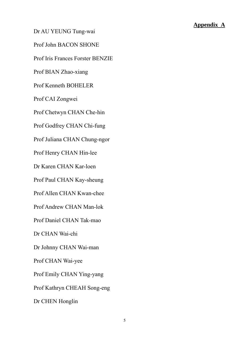Dr AU YEUNG Tung-wai

Prof John BACON SHONE

Prof Iris Frances Forster BENZIE

Prof BIAN Zhao-xiang

Prof Kenneth BOHELER

Prof CAI Zongwei

Prof Chetwyn CHAN Che-hin

Prof Godfrey CHAN Chi-fung

Prof Juliana CHAN Chung-ngor

Prof Henry CHAN Hin-lee

Dr Karen CHAN Kar-loen

Prof Paul CHAN Kay-sheung

Prof Allen CHAN Kwan-chee

Prof Andrew CHAN Man-lok

Prof Daniel CHAN Tak-mao

Dr CHAN Wai-chi

Dr Johnny CHAN Wai-man

Prof CHAN Wai-yee

Prof Emily CHAN Ying-yang

Prof Kathryn CHEAH Song-eng

Dr CHEN Honglin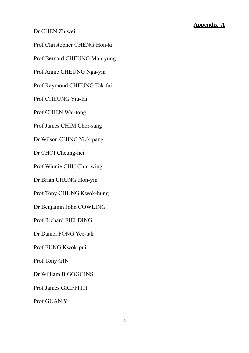Dr CHEN Zhiwei

Prof Christopher CHENG Hon-ki

Prof Bernard CHEUNG Man-yung

Prof Annie CHEUNG Nga-yin

Prof Raymond CHEUNG Tak-fai

Prof CHEUNG Yiu-fai

Prof CHIEN Wai-tong

Prof James CHIM Chor-sang

Dr Wilson CHING Yick-pang

Dr CHOI Cheung-hei

Prof Winnie CHU Chiu-wing

Dr Brian CHUNG Hon-yin

Prof Tony CHUNG Kwok-hung

Dr Benjamin John COWLING

Prof Richard FIELDING

Dr Daniel FONG Yee-tak

Prof FUNG Kwok-pui

Prof Tony GIN

Dr William B GOGGINS

Prof James GRIFFITH

Prof GUAN Yi Prof GUAN Yi 6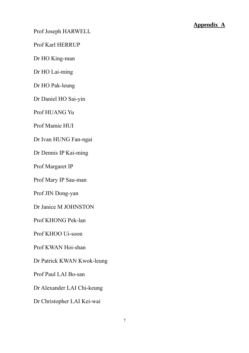Prof Joseph HARWELL

Prof Karl HERRUP

Dr HO King-man

Dr HO Lai-ming

Dr HO Pak-leung

Dr Daniel HO Sai-yin

Prof HUANG Yu

Prof Mamie HUI

Dr Ivan HUNG Fan-ngai

Dr Dennis IP Kai-ming

Prof Margaret IP

Prof Mary IP Sau-man

Prof JIN Dong-yan

Dr Janice M JOHNSTON

Prof KHONG Pek-lan

Prof KHOO Ui-soon

Prof KWAN Hoi-shan

Dr Patrick KWAN Kwok-leung

Prof Paul LAI Bo-san

Dr Alexander LAI Chi-keung

Dr Christopher LAI Kei-wai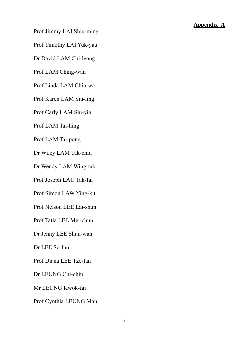Prof Jimmy LAI Shiu-ming

Prof Timothy LAI Yuk-yau

Dr David LAM Chi-leung

Prof LAM Ching-wan

Prof Linda LAM Chiu-wa

Prof Karen LAM Siu-ling

Prof Carly LAM Siu-yin

Prof LAM Tai-hing

Prof LAM Tai-pong

Dr Wiley LAM Tak-chiu

Dr Wendy LAM Wing-tak

Prof Joseph LAU Tak-fai

Prof Simon LAW Ying-kit

Prof Nelson LEE Lai-shun

Prof Tatia LEE Mei-chun

Dr Jenny LEE Shun-wah

Dr LEE So-lun

Prof Diana LEE Tze-fan

Dr LEUNG Chi-chiu

Mr LEUNG Kwok-fai

Prof Cynthia LEUNG Man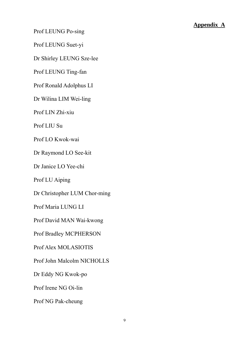Prof LEUNG Po-sing

Prof LEUNG Suet-yi

Dr Shirley LEUNG Sze-lee

Prof LEUNG Ting-fan

Prof Ronald Adolphus LI

Dr Wilina LIM Wei-ling

Prof LIN Zhi-xiu

Prof LIU Su

Prof LO Kwok-wai

Dr Raymond LO See-kit

Dr Janice LO Yee-chi

Prof LU Aiping

Dr Christopher LUM Chor-ming

Prof Maria LUNG LI

Prof David MAN Wai-kwong

Prof Bradley MCPHERSON

Prof Alex MOLASIOTIS

Prof John Malcolm NICHOLLS

Dr Eddy NG Kwok-po

Prof Irene NG Oi-lin

Prof NG Pak-cheung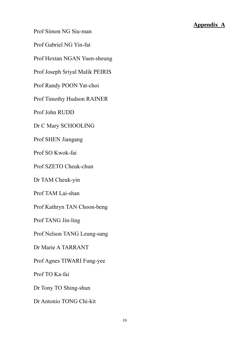Prof Simon NG Siu-man

Prof Gabriel NG Yin-fat

Prof Hextan NGAN Yuen-sheung

Prof Joseph Sriyal Malik PEIRIS

Prof Randy POON Yat-choi

Prof Timothy Hudson RAINER

Prof John RUDD

Dr C Mary SCHOOLING

Prof SHEN Jiangang

Prof SO Kwok-fai

Prof SZETO Cheuk-chun

Dr TAM Cheuk-yin

Prof TAM Lai-shan

Prof Kathryn TAN Choon-beng

Prof TANG Jin-ling

Prof Nelson TANG Leung-sang

Dr Marie A TARRANT

Prof Agnes TIWARI Fung-yee

Prof TO Ka-fai

Dr Tony TO Shing-shun

Dr Antonio TONG Chi-kit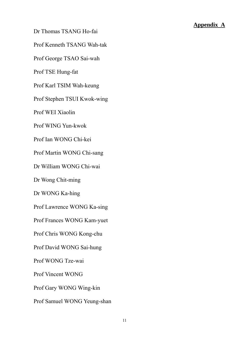Dr Thomas TSANG Ho-fai

 Prof Kenneth TSANG Wah-tak

Prof George TSAO Sai-wah

Prof TSE Hung-fat

Prof Karl TSIM Wah-keung

Prof Stephen TSUI Kwok-wing

Prof WEI Xiaolin

Prof WING Yun-kwok

Prof Ian WONG Chi-kei

Prof Martin WONG Chi-sang

Dr William WONG Chi-wai

Dr Wong Chit-ming

Dr WONG Ka-hing

Prof Lawrence WONG Ka-sing

Prof Frances WONG Kam-yuet

Prof Chris WONG Kong-chu

Prof David WONG Sai-hung

Prof WONG Tze-wai

Prof Vincent WONG

Prof Gary WONG Wing-kin

Prof Samuel WONG Yeung-shan<br>
11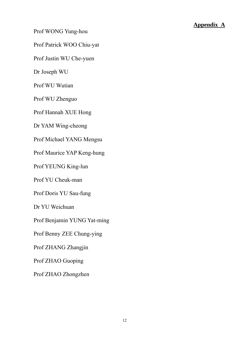Prof WONG Yung-hou

Prof Patrick WOO Chiu-yat

Prof Justin WU Che-yuen

Dr Joseph WU

Prof WU Wutian

Prof WU Zhenguo

Prof Hannah XUE Hong

Dr YAM Wing-cheong

Prof Michael YANG Mengsu

Prof Maurice YAP Keng-hung

Prof YEUNG King-lun

Prof YU Cheuk-man

Prof Doris YU Sau-fung

Dr YU Weichuan

Prof Benjamin YUNG Yat-ming

Prof Benny ZEE Chung-ying

Prof ZHANG Zhangjin

Prof ZHAO Guoping

Prof ZHAO Zhongzhen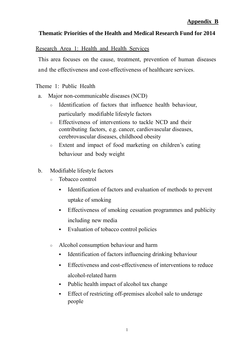## **Thematic Priorities of the Health and Medical Research Fund for 2014**

## Research Area 1: Health and Health Services

This area focuses on the cause, treatment, prevention of human diseases and the effectiveness and cost-effectiveness of healthcare services.

Theme 1: Public Health

- a. Major non-communicable diseases (NCD)
	- Identification of factors that influence health behaviour, particularly modifiable lifestyle factors
	- Effectiveness of interventions to tackle NCD and their contributing factors, e.g. cancer, cardiovascular diseases, cerebrovascular diseases, childhood obesity
	- Extent and impact of food marketing on children's eating behaviour and body weight
- b. Modifiable lifestyle factors
	- Tobacco control
		- Identification of factors and evaluation of methods to prevent uptake of smoking
		- Effectiveness of smoking cessation programmes and publicity including new media
		- Evaluation of tobacco control policies
	- Alcohol consumption behaviour and harm
		- Identification of factors influencing drinking behaviour
		- Effectiveness and cost-effectiveness of interventions to reduce alcohol-related harm
		- Public health impact of alcohol tax change
		- Effect of restricting off-premises alcohol sale to underage people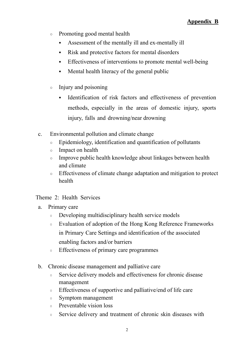- Promoting good mental health
	- Assessment of the mentally ill and ex-mentally ill
	- Risk and protective factors for mental disorders
	- **Effectiveness of interventions to promote mental well-being**
	- Mental health literacy of the general public
- Injury and poisoning
	- Identification of risk factors and effectiveness of prevention methods, especially in the areas of domestic injury, sports injury, falls and drowning/near drowning
- c. Environmental pollution and climate change
	- Epidemiology, identification and quantification of pollutants
	- Impact on health
	- Improve public health knowledge about linkages between health and climate
	- Effectiveness of climate change adaptation and mitigation to protect health

## Theme 2: Health Services

- a. Primary care
	- Developing multidisciplinary health service models
	- Evaluation of adoption of the Hong Kong Reference Frameworks in Primary Care Settings and identification of the associated enabling factors and/or barriers
	- Effectiveness of primary care programmes
- b. Chronic disease management and palliative care
	- Service delivery models and effectiveness for chronic disease management
	- Effectiveness of supportive and palliative/end of life care
	- Symptom management
	- Preventable vision loss
	- Service delivery and treatment of chronic skin diseases with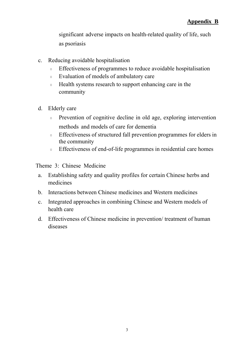significant adverse impacts on health-related quality of life, such as psoriasis

- c. Reducing avoidable hospitalisation
	- Effectiveness of programmes to reduce avoidable hospitalisation
	- Evaluation of models of ambulatory care
	- Health systems research to support enhancing care in the community
- d. Elderly care
	- Prevention of cognitive decline in old age, exploring intervention methods and models of care for dementia
	- Effectiveness of structured fall prevention programmes for elders in the community
	- Effectiveness of end-of-life programmes in residential care homes

Theme 3: Chinese Medicine

- a. Establishing safety and quality profiles for certain Chinese herbs and medicines
- b. Interactions between Chinese medicines and Western medicines
- c. Integrated approaches in combining Chinese and Western models of health care
- d. Effectiveness of Chinese medicine in prevention/ treatment of human diseases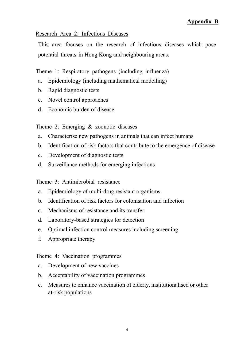## **Appendix B**

#### Research Area 2: Infectious Diseases

This area focuses on the research of infectious diseases which pose potential threats in Hong Kong and neighbouring areas.

Theme 1: Respiratory pathogens (including influenza)

- a. Epidemiology (including mathematical modelling)
- b. Rapid diagnostic tests
- c. Novel control approaches
- d. Economic burden of disease

Theme 2: Emerging & zoonotic diseases

- a. Characterise new pathogens in animals that can infect humans
- b. Identification of risk factors that contribute to the emergence of disease
- c. Development of diagnostic tests
- d. Surveillance methods for emerging infections

Theme 3: Antimicrobial resistance

- a. Epidemiology of multi-drug resistant organisms
- b. Identification of risk factors for colonisation and infection
- c. Mechanisms of resistance and its transfer
- d. Laboratory-based strategies for detection
- e. Optimal infection control measures including screening
- f. Appropriate therapy

Theme 4: Vaccination programmes

- a. Development of new vaccines
- b. Acceptability of vaccination programmes
- c. Measures to enhance vaccination of elderly, institutionalised or other at-risk populations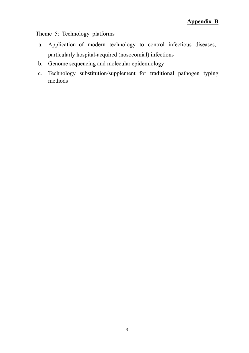Theme 5: Technology platforms

- a. Application of modern technology to control infectious diseases, particularly hospital-acquired (nosocomial) infections
- b. Genome sequencing and molecular epidemiology
- c. Technology substitution/supplement for traditional pathogen typing methods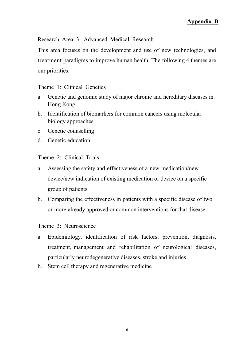## Research Area 3: Advanced Medical Research

This area focuses on the development and use of new technologies, and treatment paradigms to improve human health. The following 4 themes are our priorities:

Theme 1: Clinical Genetics

- a. Genetic and genomic study of major chronic and hereditary diseases in Hong Kong
- b. Identification of biomarkers for common cancers using molecular biology approaches
- c. Genetic counselling
- d. Genetic education

Theme 2: Clinical Trials

- a. Assessing the safety and effectiveness of a new medication/new device/new indication of existing medication or device on a specific group of patients
- b. Comparing the effectiveness in patients with a specific disease of two or more already approved or common interventions for that disease

Theme 3: Neuroscience

- a. Epidemiology, identification of risk factors, prevention, diagnosis, treatment, management and rehabilitation of neurological diseases, particularly neurodegenerative diseases, stroke and injuries
- b. Stem cell therapy and regenerative medicine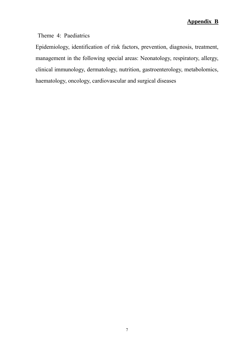Theme 4: Paediatrics

Epidemiology, identification of risk factors, prevention, diagnosis, treatment, management in the following special areas: Neonatology, respiratory, allergy, clinical immunology, dermatology, nutrition, gastroenterology, metabolomics, haematology, oncology, cardiovascular and surgical diseases